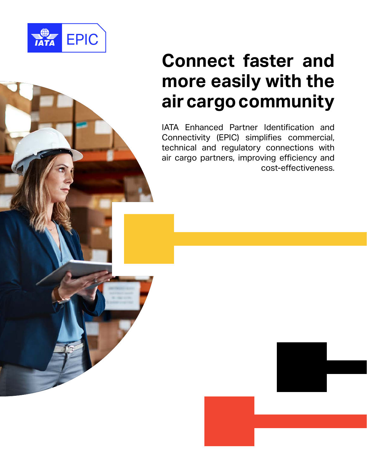

# **Connect faster and more easily with the air cargo community**

IATA Enhanced Partner Identification and Connectivity (EPIC) simplifies commercial, technical and regulatory connections with air cargo partners, improving efficiency and cost-effectiveness.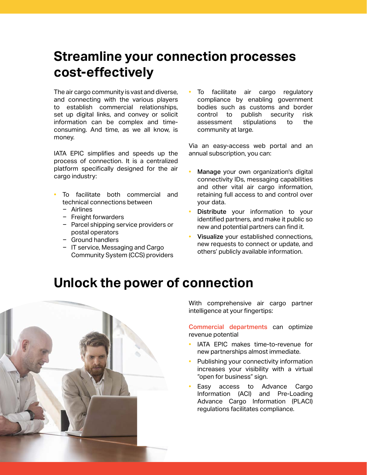### **Streamline your connection processes cost-effectively**

The air cargo community is vast and diverse, and connecting with the various players to establish commercial relationships, set up digital links, and convey or solicit information can be complex and timeconsuming. And time, as we all know, is money.

IATA EPIC simplifies and speeds up the process of connection. It is a centralized platform specifically designed for the air cargo industry:

- To facilitate both commercial and technical connections between
	- Airlines
	- Freight forwarders
	- Parcel shipping service providers or postal operators
	- $-$  Ground handlers
	- IT service, Messaging and Cargo Community System (CCS) providers

To facilitate air cargo regulatory compliance by enabling government bodies such as customs and border control to publish security risk assessment stipulations to the community at large.

Via an easy-access web portal and an annual subscription, you can:

- Manage your own organization's digital connectivity IDs, messaging capabilities and other vital air cargo information, retaining full access to and control over your data.
- Distribute your information to your identified partners, and make it public so new and potential partners can find it.
- Visualize your established connections, new requests to connect or update, and others' publicly available information.

#### **Unlock the power of connection**



With comprehensive air cargo partner intelligence at your fingertips:

Commercial departments can optimize revenue potential

- IATA EPIC makes time-to-revenue for new partnerships almost immediate.
- Publishing your connectivity information increases your visibility with a virtual "open for business" sign.
- Easy access to Advance Cargo Information (ACI) and Pre-Loading Advance Cargo Information (PLACI) regulations facilitates compliance.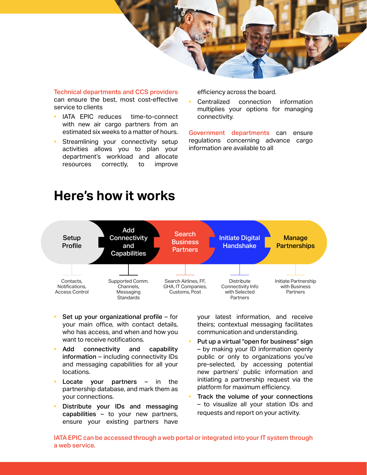

Technical departments and CCS providers can ensure the best, most cost-effective service to clients

- IATA EPIC reduces time-to-connect with new air cargo partners from an estimated six weeks to a matter of hours.
- Streamlining your connectivity setup activities allows you to plan your department's workload and allocate resources correctly, to improve

efficiency across the board.

Centralized connection information multiplies your options for managing connectivity.

Government departments can ensure regulations concerning advance cargo information are available to all

#### **Here's how it works**



- Set up your organizational profile for your main office, with contact details, who has access, and when and how you want to receive notifications.
- Add connectivity and capability information – including connectivity IDs and messaging capabilities for all your locations.
- Locate your partners  $-$  in the partnership database, and mark them as your connections.
- Distribute your IDs and messaging capabilities – to your new partners, ensure your existing partners have

your latest information, and receive theirs; contextual messaging facilitates communication and understanding.

- Put up a virtual "open for business" sign – by making your ID information openly public or only to organizations you've pre-selected, by accessing potential new partners' public information and initiating a partnership request via the platform for maximum efficiency.
- Track the volume of your connections – to visualize all your station IDs and requests and report on your activity.

IATA EPIC can be accessed through a web portal or integrated into your IT system through a web service.